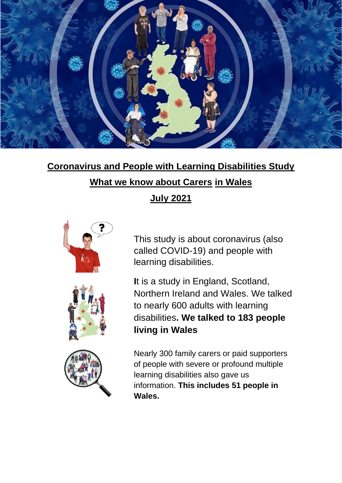

# **Coronavirus and People with Learning Disabilities Study**

### **What we know about Carers in Wales**

### **July 2021**



This study is about coronavirus (also called COVID-19) and people with learning disabilities.

**I**t is a study in England, Scotland, Northern Ireland and Wales. We talked to nearly 600 adults with learning disabilities**. We talked to 183 people living in Wales**

Nearly 300 family carers or paid supporters of people with severe or profound multiple learning disabilities also gave us information. **This includes 51 people in Wales.**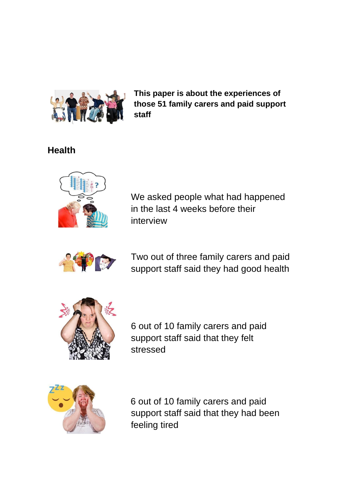

**This paper is about the experiences of those 51 family carers and paid support staff** 

## **Health**



We asked people what had happened in the last 4 weeks before their interview



Two out of three family carers and paid support staff said they had good health



6 out of 10 family carers and paid support staff said that they felt stressed



6 out of 10 family carers and paid support staff said that they had been feeling tired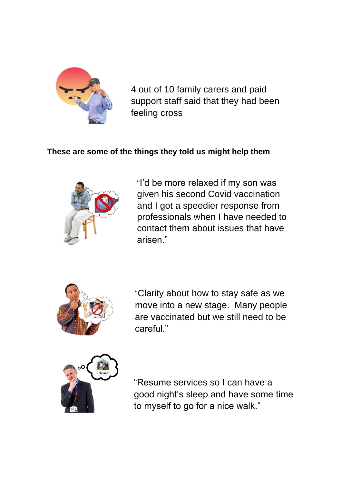

4 out of 10 family carers and paid support staff said that they had been feeling cross

#### **These are some of the things they told us might help them**



"I'd be more relaxed if my son was given his second Covid vaccination and I got a speedier response from professionals when I have needed to contact them about issues that have arisen."



"Clarity about how to stay safe as we move into a new stage. Many people are vaccinated but we still need to be careful."



"Resume services so I can have a good night's sleep and have some time to myself to go for a nice walk."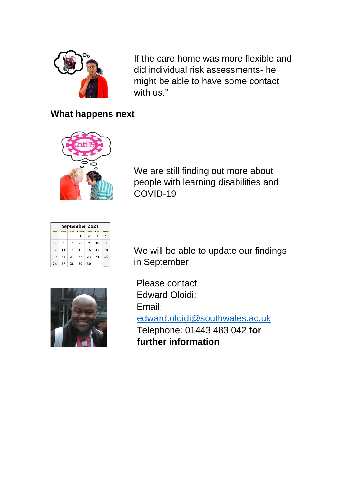

If the care home was more flexible and did individual risk assessments- he might be able to have some contact with us."

#### **What happens next**



We are still finding out more about people with learning disabilities and COVID-19

| September 2021 |        |         |           |                         |        |                   |
|----------------|--------|---------|-----------|-------------------------|--------|-------------------|
| Sundan         | Honday | Tuesday | Wednesday | Thursday                | Friday | Saturday          |
|                |        |         | 1         | $\overline{\mathbf{z}}$ | 3      | 4                 |
| 5              | 6      | 7       | 8         | 9                       | 10     | 11                |
| 12             | 13     | 14      | 15        | 16                      | 17     | 18                |
| 19             | 20     | 21      | 22        | 23                      | 24     | 25                |
| 26             | 27     | 28      | 29        | 30                      |        | <b>ALCOHOL: N</b> |

We will be able to update our findings in September



Please contact Edward Oloidi: Email: edward.oloidi@southwales.ac.uk Telephone: 01443 483 042 **for further information**